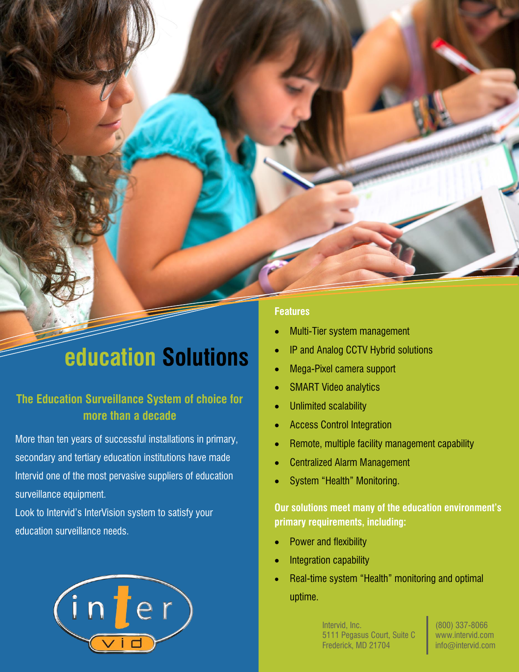# **education Solutions**

## **The Education Surveillance System of choice for more than a decade**

More than ten years of successful installations in primary, secondary and tertiary education institutions have made Intervid one of the most pervasive suppliers of education surveillance equipment.

Look to Intervid's InterVision system to satisfy your education surveillance needs.



### **Features**

- Multi-Tier system management
- IP and Analog CCTV Hybrid solutions
- Mega-Pixel camera support
- SMART Video analytics
- Unlimited scalability
- Access Control Integration
- Remote, multiple facility management capability
- Centralized Alarm Management
- System "Health" Monitoring.

### **Our solutions meet many of the education environment's primary requirements, including:**

- Power and flexibility
- Integration capability
- Real-time system "Health" monitoring and optimal uptime.

Intervid, Inc. 5111 Pegasus Court, Suite C Frederick, MD 21704

(800) 337-8066 www.intervid.com info@intervid.com